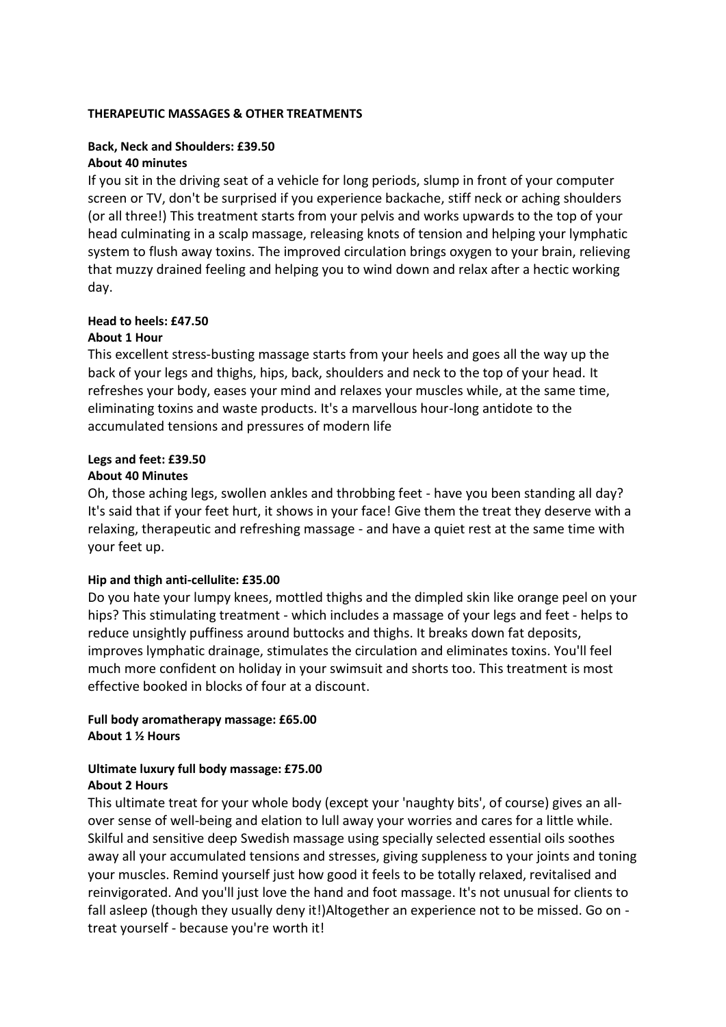## **THERAPEUTIC MASSAGES & OTHER TREATMENTS**

# **Back, Neck and Shoulders: £39.50 About 40 minutes**

If you sit in the driving seat of a vehicle for long periods, slump in front of your computer screen or TV, don't be surprised if you experience backache, stiff neck or aching shoulders (or all three!) This treatment starts from your pelvis and works upwards to the top of your head culminating in a scalp massage, releasing knots of tension and helping your lymphatic system to flush away toxins. The improved circulation brings oxygen to your brain, relieving that muzzy drained feeling and helping you to wind down and relax after a hectic working day.

## **Head to heels: £47.50**

#### **About 1 Hour**

This excellent stress-busting massage starts from your heels and goes all the way up the back of your legs and thighs, hips, back, shoulders and neck to the top of your head. It refreshes your body, eases your mind and relaxes your muscles while, at the same time, eliminating toxins and waste products. It's a marvellous hour-long antidote to the accumulated tensions and pressures of modern life

# **Legs and feet: £39.50**

#### **About 40 Minutes**

Oh, those aching legs, swollen ankles and throbbing feet - have you been standing all day? It's said that if your feet hurt, it shows in your face! Give them the treat they deserve with a relaxing, therapeutic and refreshing massage - and have a quiet rest at the same time with your feet up.

## **Hip and thigh anti-cellulite: £35.00**

Do you hate your lumpy knees, mottled thighs and the dimpled skin like orange peel on your hips? This stimulating treatment - which includes a massage of your legs and feet - helps to reduce unsightly puffiness around buttocks and thighs. It breaks down fat deposits, improves lymphatic drainage, stimulates the circulation and eliminates toxins. You'll feel much more confident on holiday in your swimsuit and shorts too. This treatment is most effective booked in blocks of four at a discount.

# **Full body aromatherapy massage: £65.00 About 1 ½ Hours**

## **Ultimate luxury full body massage: £75.00 About 2 Hours**

This ultimate treat for your whole body (except your 'naughty bits', of course) gives an allover sense of well-being and elation to lull away your worries and cares for a little while. Skilful and sensitive deep Swedish massage using specially selected essential oils soothes away all your accumulated tensions and stresses, giving suppleness to your joints and toning your muscles. Remind yourself just how good it feels to be totally relaxed, revitalised and reinvigorated. And you'll just love the hand and foot massage. It's not unusual for clients to fall asleep (though they usually deny it!)Altogether an experience not to be missed. Go on treat yourself - because you're worth it!